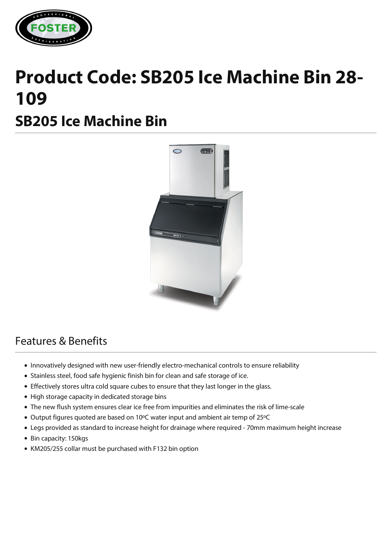

## **Product Code: SB205 Ice Machine Bin 28- 109**

## **SB205 Ice Machine Bin**



## Features & Benefits

- Innovatively designed with new user-friendly electro-mechanical controls to ensure reliability
- Stainless steel, food safe hygienic finish bin for clean and safe storage of ice.
- Effectively stores ultra cold square cubes to ensure that they last longer in the glass.
- High storage capacity in dedicated storage bins
- The new flush system ensures clear ice free from impurities and eliminates the risk of lime-scale
- Output figures quoted are based on 10ºC water input and ambient air temp of 25ºC
- Legs provided as standard to increase height for drainage where required 70mm maximum height increase
- Bin capacity: 150kgs
- KM205/255 collar must be purchased with F132 bin option